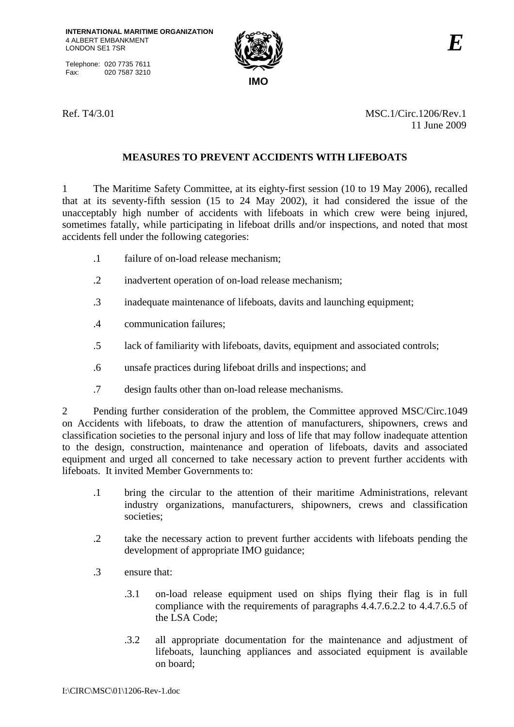Telephone: 020 7735 7611<br>Fax: 020 7587 3210 020 7587 3210



Ref. T4/3.01 MSC.1/Circ.1206/Rev.1 11 June 2009

# **MEASURES TO PREVENT ACCIDENTS WITH LIFEBOATS**

1 The Maritime Safety Committee, at its eighty-first session (10 to 19 May 2006), recalled that at its seventy-fifth session (15 to 24 May 2002), it had considered the issue of the unacceptably high number of accidents with lifeboats in which crew were being injured, sometimes fatally, while participating in lifeboat drills and/or inspections, and noted that most accidents fell under the following categories:

- .1 failure of on-load release mechanism;
- .2 inadvertent operation of on-load release mechanism;
- .3 inadequate maintenance of lifeboats, davits and launching equipment;
- .4 communication failures;
- .5 lack of familiarity with lifeboats, davits, equipment and associated controls;
- .6 unsafe practices during lifeboat drills and inspections; and
- .7 design faults other than on-load release mechanisms.

2 Pending further consideration of the problem, the Committee approved MSC/Circ.1049 on Accidents with lifeboats, to draw the attention of manufacturers, shipowners, crews and classification societies to the personal injury and loss of life that may follow inadequate attention to the design, construction, maintenance and operation of lifeboats, davits and associated equipment and urged all concerned to take necessary action to prevent further accidents with lifeboats. It invited Member Governments to:

- .1 bring the circular to the attention of their maritime Administrations, relevant industry organizations, manufacturers, shipowners, crews and classification societies;
- .2 take the necessary action to prevent further accidents with lifeboats pending the development of appropriate IMO guidance;
- .3 ensure that:
	- .3.1 on-load release equipment used on ships flying their flag is in full compliance with the requirements of paragraphs 4.4.7.6.2.2 to 4.4.7.6.5 of the LSA Code;
	- .3.2 all appropriate documentation for the maintenance and adjustment of lifeboats, launching appliances and associated equipment is available on board;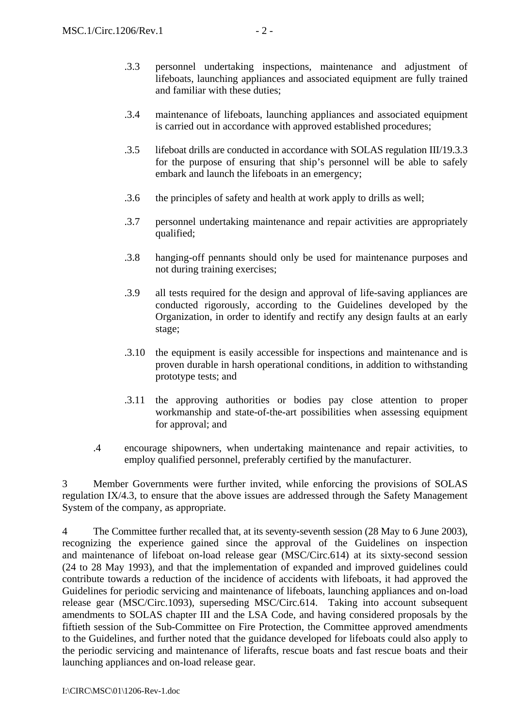- .3.3 personnel undertaking inspections, maintenance and adjustment of lifeboats, launching appliances and associated equipment are fully trained and familiar with these duties;
- .3.4 maintenance of lifeboats, launching appliances and associated equipment is carried out in accordance with approved established procedures;
- .3.5 lifeboat drills are conducted in accordance with SOLAS regulation III/19.3.3 for the purpose of ensuring that ship's personnel will be able to safely embark and launch the lifeboats in an emergency;
- .3.6 the principles of safety and health at work apply to drills as well;
- .3.7 personnel undertaking maintenance and repair activities are appropriately qualified;
- .3.8 hanging-off pennants should only be used for maintenance purposes and not during training exercises;
- .3.9 all tests required for the design and approval of life-saving appliances are conducted rigorously, according to the Guidelines developed by the Organization, in order to identify and rectify any design faults at an early stage;
- .3.10 the equipment is easily accessible for inspections and maintenance and is proven durable in harsh operational conditions, in addition to withstanding prototype tests; and
- .3.11 the approving authorities or bodies pay close attention to proper workmanship and state-of-the-art possibilities when assessing equipment for approval; and
- .4 encourage shipowners, when undertaking maintenance and repair activities, to employ qualified personnel, preferably certified by the manufacturer.

3 Member Governments were further invited, while enforcing the provisions of SOLAS regulation IX/4.3, to ensure that the above issues are addressed through the Safety Management System of the company, as appropriate.

4 The Committee further recalled that, at its seventy-seventh session (28 May to 6 June 2003), recognizing the experience gained since the approval of the Guidelines on inspection and maintenance of lifeboat on-load release gear (MSC/Circ.614) at its sixty-second session (24 to 28 May 1993), and that the implementation of expanded and improved guidelines could contribute towards a reduction of the incidence of accidents with lifeboats, it had approved the Guidelines for periodic servicing and maintenance of lifeboats, launching appliances and on-load release gear (MSC/Circ.1093), superseding MSC/Circ.614. Taking into account subsequent amendments to SOLAS chapter III and the LSA Code, and having considered proposals by the fiftieth session of the Sub-Committee on Fire Protection, the Committee approved amendments to the Guidelines, and further noted that the guidance developed for lifeboats could also apply to the periodic servicing and maintenance of liferafts, rescue boats and fast rescue boats and their launching appliances and on-load release gear.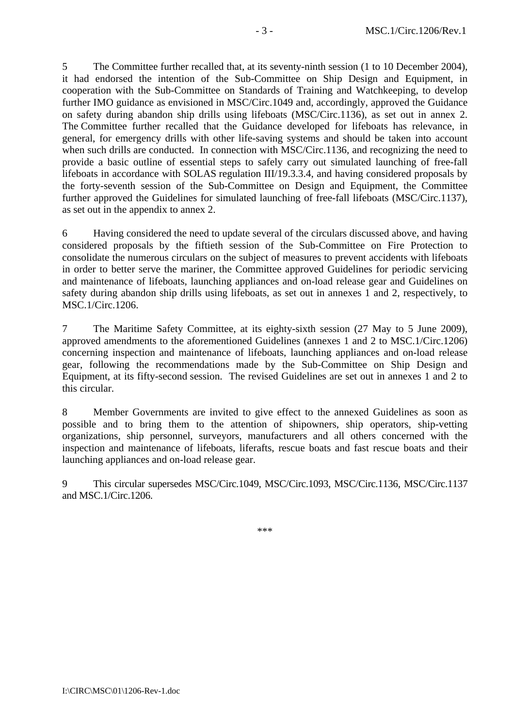5 The Committee further recalled that, at its seventy-ninth session (1 to 10 December 2004), it had endorsed the intention of the Sub-Committee on Ship Design and Equipment, in cooperation with the Sub-Committee on Standards of Training and Watchkeeping, to develop further IMO guidance as envisioned in MSC/Circ.1049 and, accordingly, approved the Guidance on safety during abandon ship drills using lifeboats (MSC/Circ.1136), as set out in annex 2. The Committee further recalled that the Guidance developed for lifeboats has relevance, in general, for emergency drills with other life-saving systems and should be taken into account when such drills are conducted. In connection with MSC/Circ.1136, and recognizing the need to provide a basic outline of essential steps to safely carry out simulated launching of free-fall lifeboats in accordance with SOLAS regulation III/19.3.3.4, and having considered proposals by the forty-seventh session of the Sub-Committee on Design and Equipment, the Committee further approved the Guidelines for simulated launching of free-fall lifeboats (MSC/Circ.1137), as set out in the appendix to annex 2.

6 Having considered the need to update several of the circulars discussed above, and having considered proposals by the fiftieth session of the Sub-Committee on Fire Protection to consolidate the numerous circulars on the subject of measures to prevent accidents with lifeboats in order to better serve the mariner, the Committee approved Guidelines for periodic servicing and maintenance of lifeboats, launching appliances and on-load release gear and Guidelines on safety during abandon ship drills using lifeboats, as set out in annexes 1 and 2, respectively, to MSC.1/Circ.1206.

7 The Maritime Safety Committee, at its eighty-sixth session (27 May to 5 June 2009), approved amendments to the aforementioned Guidelines (annexes 1 and 2 to MSC.1/Circ.1206) concerning inspection and maintenance of lifeboats, launching appliances and on-load release gear, following the recommendations made by the Sub-Committee on Ship Design and Equipment, at its fifty-second session. The revised Guidelines are set out in annexes 1 and 2 to this circular.

8 Member Governments are invited to give effect to the annexed Guidelines as soon as possible and to bring them to the attention of shipowners, ship operators, ship-vetting organizations, ship personnel, surveyors, manufacturers and all others concerned with the inspection and maintenance of lifeboats, liferafts, rescue boats and fast rescue boats and their launching appliances and on-load release gear.

9 This circular supersedes MSC/Circ.1049, MSC/Circ.1093, MSC/Circ.1136, MSC/Circ.1137 and MSC.1/Circ.1206.

\*\*\*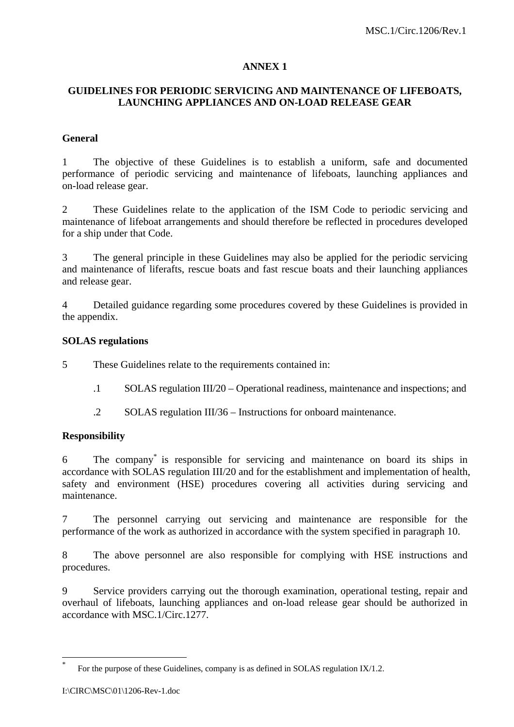## **ANNEX 1**

## **GUIDELINES FOR PERIODIC SERVICING AND MAINTENANCE OF LIFEBOATS, LAUNCHING APPLIANCES AND ON-LOAD RELEASE GEAR**

### **General**

1 The objective of these Guidelines is to establish a uniform, safe and documented performance of periodic servicing and maintenance of lifeboats, launching appliances and on-load release gear.

2 These Guidelines relate to the application of the ISM Code to periodic servicing and maintenance of lifeboat arrangements and should therefore be reflected in procedures developed for a ship under that Code.

3 The general principle in these Guidelines may also be applied for the periodic servicing and maintenance of liferafts, rescue boats and fast rescue boats and their launching appliances and release gear.

4 Detailed guidance regarding some procedures covered by these Guidelines is provided in the appendix.

### **SOLAS regulations**

5 These Guidelines relate to the requirements contained in:

- .1 SOLAS regulation III/20 Operational readiness, maintenance and inspections; and
- .2 SOLAS regulation III/36 Instructions for onboard maintenance.

### **Responsibility**

6 The company\* is responsible for servicing and maintenance on board its ships in accordance with SOLAS regulation III/20 and for the establishment and implementation of health, safety and environment (HSE) procedures covering all activities during servicing and maintenance.

7 The personnel carrying out servicing and maintenance are responsible for the performance of the work as authorized in accordance with the system specified in paragraph 10.

8 The above personnel are also responsible for complying with HSE instructions and procedures.

9 Service providers carrying out the thorough examination, operational testing, repair and overhaul of lifeboats, launching appliances and on-load release gear should be authorized in accordance with MSC.1/Circ.1277.

 $\overline{a}$ 

For the purpose of these Guidelines, company is as defined in SOLAS regulation IX/1.2.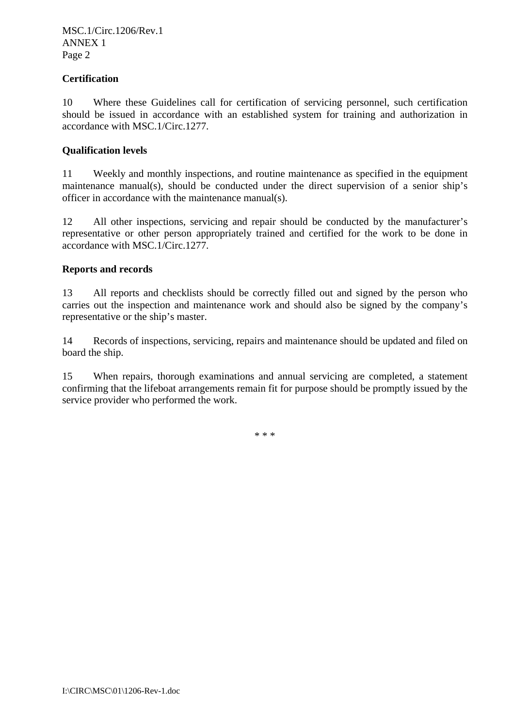MSC.1/Circ.1206/Rev.1 ANNEX 1 Page 2

### **Certification**

10 Where these Guidelines call for certification of servicing personnel, such certification should be issued in accordance with an established system for training and authorization in accordance with MSC.1/Circ.1277.

## **Qualification levels**

11 Weekly and monthly inspections, and routine maintenance as specified in the equipment maintenance manual(s), should be conducted under the direct supervision of a senior ship's officer in accordance with the maintenance manual(s).

12 All other inspections, servicing and repair should be conducted by the manufacturer's representative or other person appropriately trained and certified for the work to be done in accordance with MSC.1/Circ.1277.

## **Reports and records**

13 All reports and checklists should be correctly filled out and signed by the person who carries out the inspection and maintenance work and should also be signed by the company's representative or the ship's master.

14 Records of inspections, servicing, repairs and maintenance should be updated and filed on board the ship.

15 When repairs, thorough examinations and annual servicing are completed, a statement confirming that the lifeboat arrangements remain fit for purpose should be promptly issued by the service provider who performed the work.

\* \* \*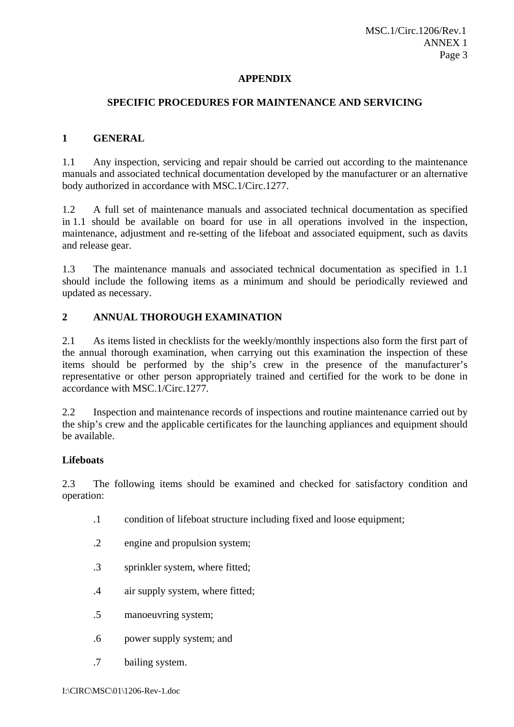### **APPENDIX**

#### **SPECIFIC PROCEDURES FOR MAINTENANCE AND SERVICING**

#### **1 GENERAL**

1.1 Any inspection, servicing and repair should be carried out according to the maintenance manuals and associated technical documentation developed by the manufacturer or an alternative body authorized in accordance with MSC.1/Circ.1277.

1.2 A full set of maintenance manuals and associated technical documentation as specified in 1.1 should be available on board for use in all operations involved in the inspection, maintenance, adjustment and re-setting of the lifeboat and associated equipment, such as davits and release gear.

1.3 The maintenance manuals and associated technical documentation as specified in 1.1 should include the following items as a minimum and should be periodically reviewed and updated as necessary.

### **2 ANNUAL THOROUGH EXAMINATION**

2.1 As items listed in checklists for the weekly/monthly inspections also form the first part of the annual thorough examination, when carrying out this examination the inspection of these items should be performed by the ship's crew in the presence of the manufacturer's representative or other person appropriately trained and certified for the work to be done in accordance with MSC.1/Circ.1277.

2.2 Inspection and maintenance records of inspections and routine maintenance carried out by the ship's crew and the applicable certificates for the launching appliances and equipment should be available.

## **Lifeboats**

2.3 The following items should be examined and checked for satisfactory condition and operation:

- .1 condition of lifeboat structure including fixed and loose equipment;
- .2 engine and propulsion system;
- .3 sprinkler system, where fitted;
- .4 air supply system, where fitted;
- .5 manoeuvring system;
- .6 power supply system; and
- .7 bailing system.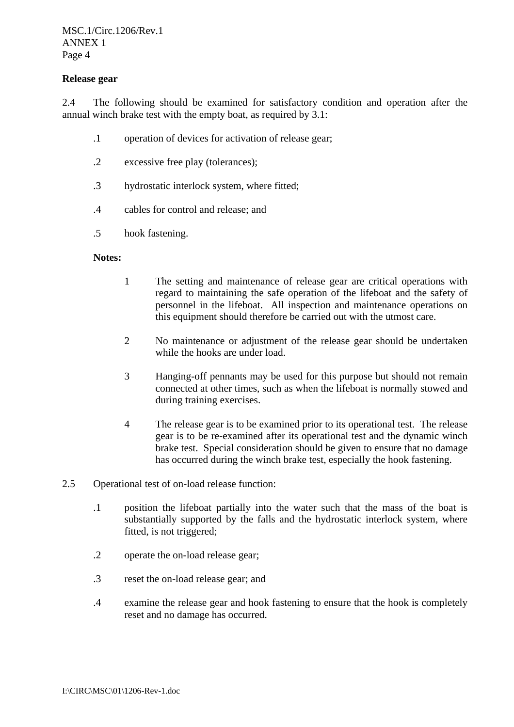### **Release gear**

2.4 The following should be examined for satisfactory condition and operation after the annual winch brake test with the empty boat, as required by 3.1:

- .1 operation of devices for activation of release gear;
- .2 excessive free play (tolerances);
- .3 hydrostatic interlock system, where fitted;
- .4 cables for control and release; and
- .5 hook fastening.

#### **Notes:**

- 1 The setting and maintenance of release gear are critical operations with regard to maintaining the safe operation of the lifeboat and the safety of personnel in the lifeboat. All inspection and maintenance operations on this equipment should therefore be carried out with the utmost care.
- 2 No maintenance or adjustment of the release gear should be undertaken while the hooks are under load.
- 3 Hanging-off pennants may be used for this purpose but should not remain connected at other times, such as when the lifeboat is normally stowed and during training exercises.
- 4 The release gear is to be examined prior to its operational test. The release gear is to be re-examined after its operational test and the dynamic winch brake test. Special consideration should be given to ensure that no damage has occurred during the winch brake test, especially the hook fastening.
- 2.5 Operational test of on-load release function:
	- .1 position the lifeboat partially into the water such that the mass of the boat is substantially supported by the falls and the hydrostatic interlock system, where fitted, is not triggered;
	- .2 operate the on-load release gear;
	- .3 reset the on-load release gear; and
	- .4 examine the release gear and hook fastening to ensure that the hook is completely reset and no damage has occurred.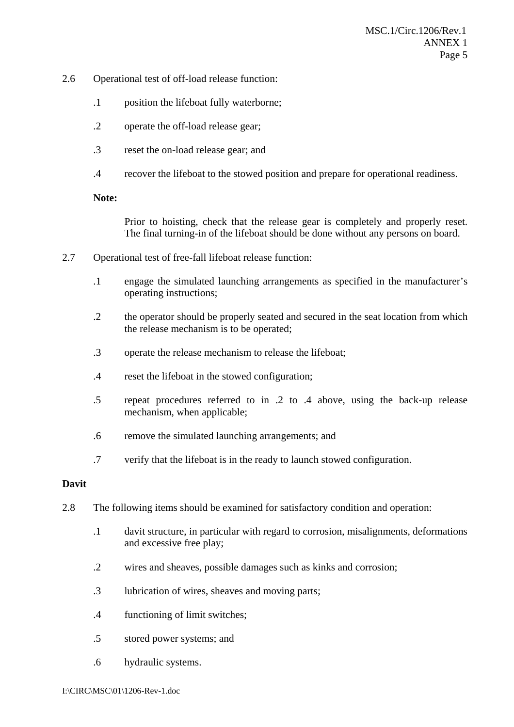- 2.6 Operational test of off-load release function:
	- .1 position the lifeboat fully waterborne;
	- .2 operate the off-load release gear;
	- .3 reset the on-load release gear; and
	- .4 recover the lifeboat to the stowed position and prepare for operational readiness.

### **Note:**

Prior to hoisting, check that the release gear is completely and properly reset. The final turning-in of the lifeboat should be done without any persons on board.

- 2.7 Operational test of free-fall lifeboat release function:
	- .1 engage the simulated launching arrangements as specified in the manufacturer's operating instructions;
	- .2 the operator should be properly seated and secured in the seat location from which the release mechanism is to be operated;
	- .3 operate the release mechanism to release the lifeboat;
	- .4 reset the lifeboat in the stowed configuration;
	- .5 repeat procedures referred to in .2 to .4 above, using the back-up release mechanism, when applicable;
	- .6 remove the simulated launching arrangements; and
	- .7 verify that the lifeboat is in the ready to launch stowed configuration.

### **Davit**

- 2.8 The following items should be examined for satisfactory condition and operation:
	- .1 davit structure, in particular with regard to corrosion, misalignments, deformations and excessive free play;
	- .2 wires and sheaves, possible damages such as kinks and corrosion;
	- .3 lubrication of wires, sheaves and moving parts;
	- .4 functioning of limit switches;
	- .5 stored power systems; and
	- .6 hydraulic systems.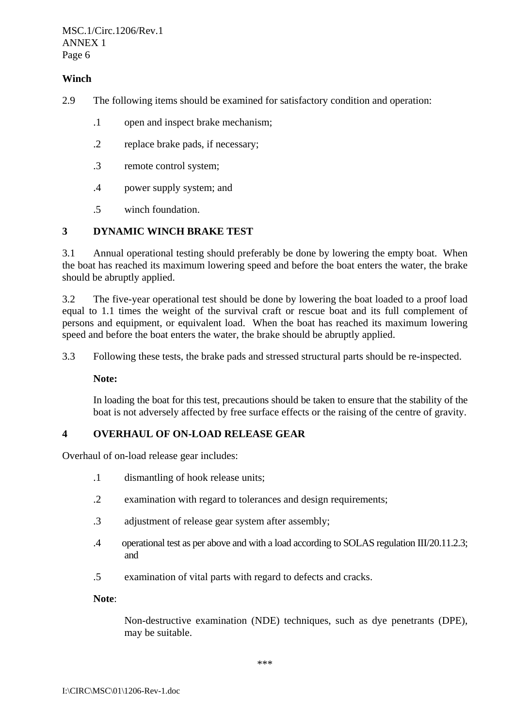MSC.1/Circ.1206/Rev.1 ANNEX 1 Page 6

## **Winch**

- 2.9 The following items should be examined for satisfactory condition and operation:
	- .1 open and inspect brake mechanism;
	- .2 replace brake pads, if necessary;
	- .3 remote control system;
	- .4 power supply system; and
	- .5 winch foundation.

## **3 DYNAMIC WINCH BRAKE TEST**

3.1 Annual operational testing should preferably be done by lowering the empty boat. When the boat has reached its maximum lowering speed and before the boat enters the water, the brake should be abruptly applied.

3.2 The five-year operational test should be done by lowering the boat loaded to a proof load equal to 1.1 times the weight of the survival craft or rescue boat and its full complement of persons and equipment, or equivalent load. When the boat has reached its maximum lowering speed and before the boat enters the water, the brake should be abruptly applied.

3.3 Following these tests, the brake pads and stressed structural parts should be re-inspected.

**Note:** 

In loading the boat for this test, precautions should be taken to ensure that the stability of the boat is not adversely affected by free surface effects or the raising of the centre of gravity.

### **4 OVERHAUL OF ON-LOAD RELEASE GEAR**

Overhaul of on-load release gear includes:

- .1 dismantling of hook release units;
- .2 examination with regard to tolerances and design requirements;
- .3 adjustment of release gear system after assembly;
- .4 operational test as per above and with a load according to SOLAS regulation III/20.11.2.3; and
- .5 examination of vital parts with regard to defects and cracks.

**Note**:

Non-destructive examination (NDE) techniques, such as dye penetrants (DPE), may be suitable.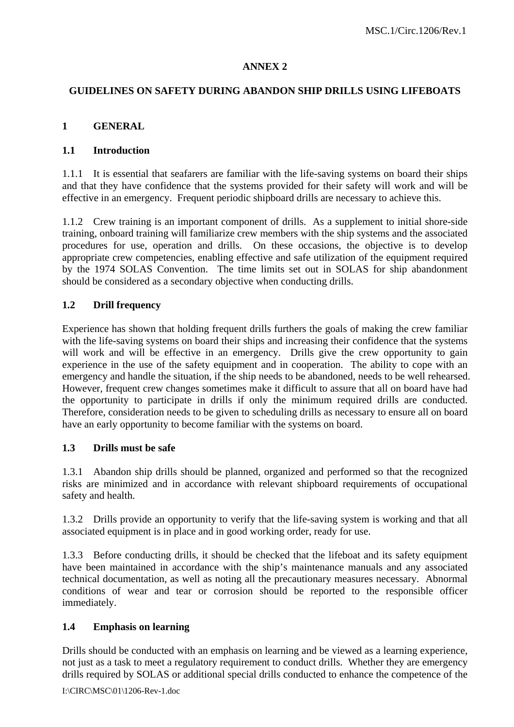## **ANNEX 2**

### **GUIDELINES ON SAFETY DURING ABANDON SHIP DRILLS USING LIFEBOATS**

### **1 GENERAL**

#### **1.1 Introduction**

1.1.1 It is essential that seafarers are familiar with the life-saving systems on board their ships and that they have confidence that the systems provided for their safety will work and will be effective in an emergency. Frequent periodic shipboard drills are necessary to achieve this.

1.1.2 Crew training is an important component of drills. As a supplement to initial shore-side training, onboard training will familiarize crew members with the ship systems and the associated procedures for use, operation and drills. On these occasions, the objective is to develop appropriate crew competencies, enabling effective and safe utilization of the equipment required by the 1974 SOLAS Convention. The time limits set out in SOLAS for ship abandonment should be considered as a secondary objective when conducting drills.

## **1.2 Drill frequency**

Experience has shown that holding frequent drills furthers the goals of making the crew familiar with the life-saving systems on board their ships and increasing their confidence that the systems will work and will be effective in an emergency. Drills give the crew opportunity to gain experience in the use of the safety equipment and in cooperation. The ability to cope with an emergency and handle the situation, if the ship needs to be abandoned, needs to be well rehearsed. However, frequent crew changes sometimes make it difficult to assure that all on board have had the opportunity to participate in drills if only the minimum required drills are conducted. Therefore, consideration needs to be given to scheduling drills as necessary to ensure all on board have an early opportunity to become familiar with the systems on board.

### **1.3 Drills must be safe**

1.3.1 Abandon ship drills should be planned, organized and performed so that the recognized risks are minimized and in accordance with relevant shipboard requirements of occupational safety and health.

1.3.2 Drills provide an opportunity to verify that the life-saving system is working and that all associated equipment is in place and in good working order, ready for use.

1.3.3 Before conducting drills, it should be checked that the lifeboat and its safety equipment have been maintained in accordance with the ship's maintenance manuals and any associated technical documentation, as well as noting all the precautionary measures necessary. Abnormal conditions of wear and tear or corrosion should be reported to the responsible officer immediately.

### **1.4 Emphasis on learning**

Drills should be conducted with an emphasis on learning and be viewed as a learning experience, not just as a task to meet a regulatory requirement to conduct drills. Whether they are emergency drills required by SOLAS or additional special drills conducted to enhance the competence of the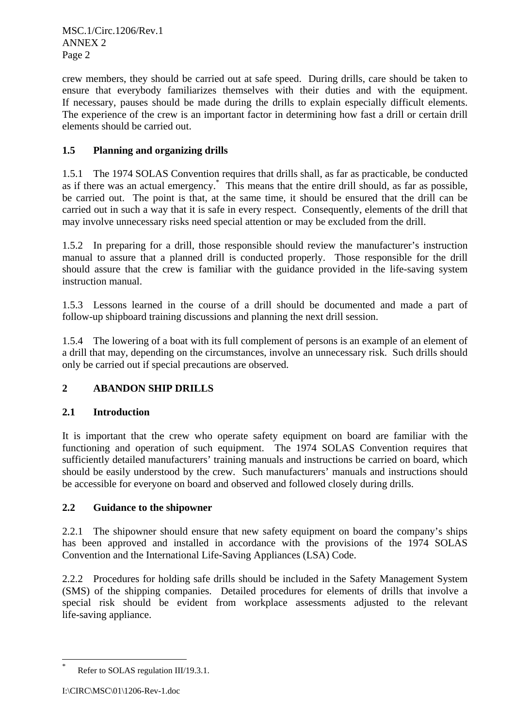MSC.1/Circ.1206/Rev.1 ANNEX 2 Page 2

crew members, they should be carried out at safe speed. During drills, care should be taken to ensure that everybody familiarizes themselves with their duties and with the equipment. If necessary, pauses should be made during the drills to explain especially difficult elements. The experience of the crew is an important factor in determining how fast a drill or certain drill elements should be carried out.

# **1.5 Planning and organizing drills**

1.5.1 The 1974 SOLAS Convention requires that drills shall, as far as practicable, be conducted as if there was an actual emergency.\* This means that the entire drill should, as far as possible, be carried out. The point is that, at the same time, it should be ensured that the drill can be carried out in such a way that it is safe in every respect. Consequently, elements of the drill that may involve unnecessary risks need special attention or may be excluded from the drill.

1.5.2 In preparing for a drill, those responsible should review the manufacturer's instruction manual to assure that a planned drill is conducted properly. Those responsible for the drill should assure that the crew is familiar with the guidance provided in the life-saving system instruction manual.

1.5.3 Lessons learned in the course of a drill should be documented and made a part of follow-up shipboard training discussions and planning the next drill session.

1.5.4 The lowering of a boat with its full complement of persons is an example of an element of a drill that may, depending on the circumstances, involve an unnecessary risk. Such drills should only be carried out if special precautions are observed.

# **2 ABANDON SHIP DRILLS**

## **2.1 Introduction**

It is important that the crew who operate safety equipment on board are familiar with the functioning and operation of such equipment. The 1974 SOLAS Convention requires that sufficiently detailed manufacturers' training manuals and instructions be carried on board, which should be easily understood by the crew. Such manufacturers' manuals and instructions should be accessible for everyone on board and observed and followed closely during drills.

## **2.2 Guidance to the shipowner**

2.2.1 The shipowner should ensure that new safety equipment on board the company's ships has been approved and installed in accordance with the provisions of the 1974 SOLAS Convention and the International Life-Saving Appliances (LSA) Code.

2.2.2 Procedures for holding safe drills should be included in the Safety Management System (SMS) of the shipping companies. Detailed procedures for elements of drills that involve a special risk should be evident from workplace assessments adjusted to the relevant life-saving appliance.

 $\overline{a}$ 

<sup>\*</sup> Refer to SOLAS regulation III/19.3.1.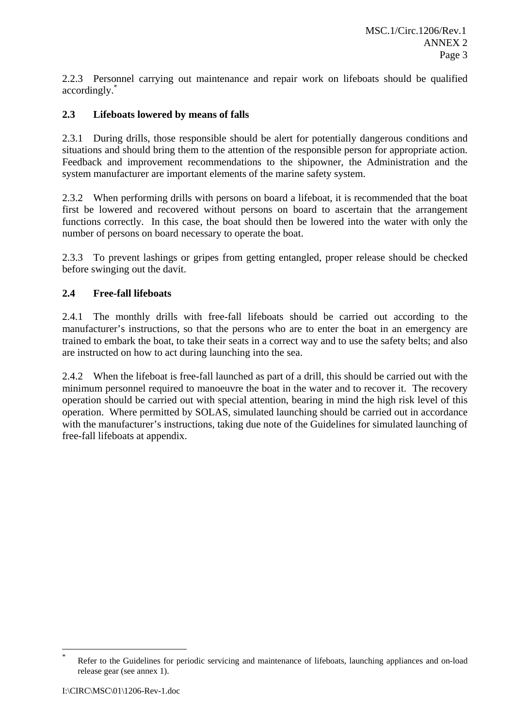2.2.3 Personnel carrying out maintenance and repair work on lifeboats should be qualified accordingly.\*

# **2.3 Lifeboats lowered by means of falls**

2.3.1 During drills, those responsible should be alert for potentially dangerous conditions and situations and should bring them to the attention of the responsible person for appropriate action. Feedback and improvement recommendations to the shipowner, the Administration and the system manufacturer are important elements of the marine safety system.

2.3.2 When performing drills with persons on board a lifeboat, it is recommended that the boat first be lowered and recovered without persons on board to ascertain that the arrangement functions correctly. In this case, the boat should then be lowered into the water with only the number of persons on board necessary to operate the boat.

2.3.3 To prevent lashings or gripes from getting entangled, proper release should be checked before swinging out the davit.

## **2.4 Free-fall lifeboats**

2.4.1 The monthly drills with free-fall lifeboats should be carried out according to the manufacturer's instructions, so that the persons who are to enter the boat in an emergency are trained to embark the boat, to take their seats in a correct way and to use the safety belts; and also are instructed on how to act during launching into the sea.

2.4.2 When the lifeboat is free-fall launched as part of a drill, this should be carried out with the minimum personnel required to manoeuvre the boat in the water and to recover it. The recovery operation should be carried out with special attention, bearing in mind the high risk level of this operation. Where permitted by SOLAS, simulated launching should be carried out in accordance with the manufacturer's instructions, taking due note of the Guidelines for simulated launching of free-fall lifeboats at appendix.

 $\overline{a}$ 

<sup>\*</sup> Refer to the Guidelines for periodic servicing and maintenance of lifeboats, launching appliances and on-load release gear (see annex 1).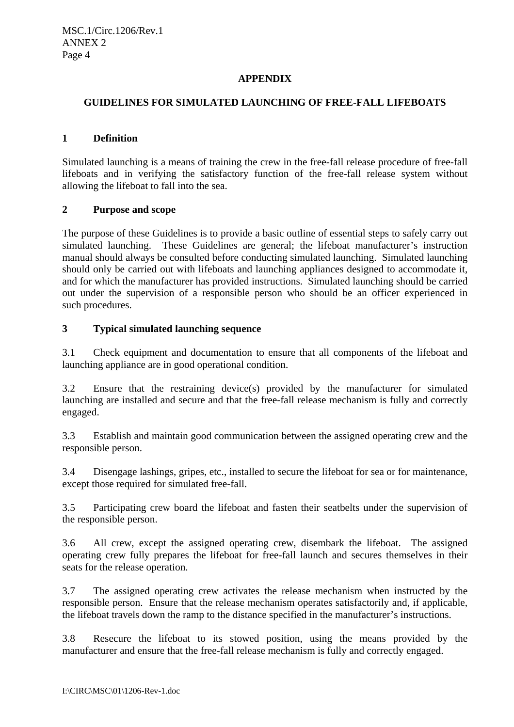## **APPENDIX**

### **GUIDELINES FOR SIMULATED LAUNCHING OF FREE-FALL LIFEBOATS**

### **1 Definition**

Simulated launching is a means of training the crew in the free-fall release procedure of free-fall lifeboats and in verifying the satisfactory function of the free-fall release system without allowing the lifeboat to fall into the sea.

## **2 Purpose and scope**

The purpose of these Guidelines is to provide a basic outline of essential steps to safely carry out simulated launching. These Guidelines are general; the lifeboat manufacturer's instruction manual should always be consulted before conducting simulated launching. Simulated launching should only be carried out with lifeboats and launching appliances designed to accommodate it, and for which the manufacturer has provided instructions. Simulated launching should be carried out under the supervision of a responsible person who should be an officer experienced in such procedures.

## **3 Typical simulated launching sequence**

3.1 Check equipment and documentation to ensure that all components of the lifeboat and launching appliance are in good operational condition.

3.2 Ensure that the restraining device(s) provided by the manufacturer for simulated launching are installed and secure and that the free-fall release mechanism is fully and correctly engaged.

3.3 Establish and maintain good communication between the assigned operating crew and the responsible person.

3.4 Disengage lashings, gripes, etc., installed to secure the lifeboat for sea or for maintenance, except those required for simulated free-fall.

3.5 Participating crew board the lifeboat and fasten their seatbelts under the supervision of the responsible person.

3.6 All crew, except the assigned operating crew, disembark the lifeboat. The assigned operating crew fully prepares the lifeboat for free-fall launch and secures themselves in their seats for the release operation.

3.7 The assigned operating crew activates the release mechanism when instructed by the responsible person. Ensure that the release mechanism operates satisfactorily and, if applicable, the lifeboat travels down the ramp to the distance specified in the manufacturer's instructions.

3.8 Resecure the lifeboat to its stowed position, using the means provided by the manufacturer and ensure that the free-fall release mechanism is fully and correctly engaged.